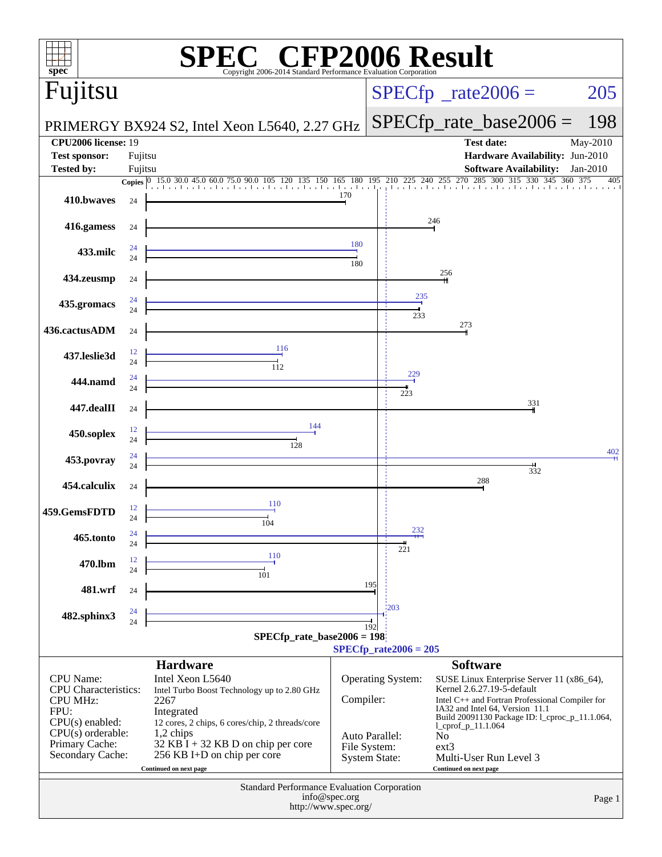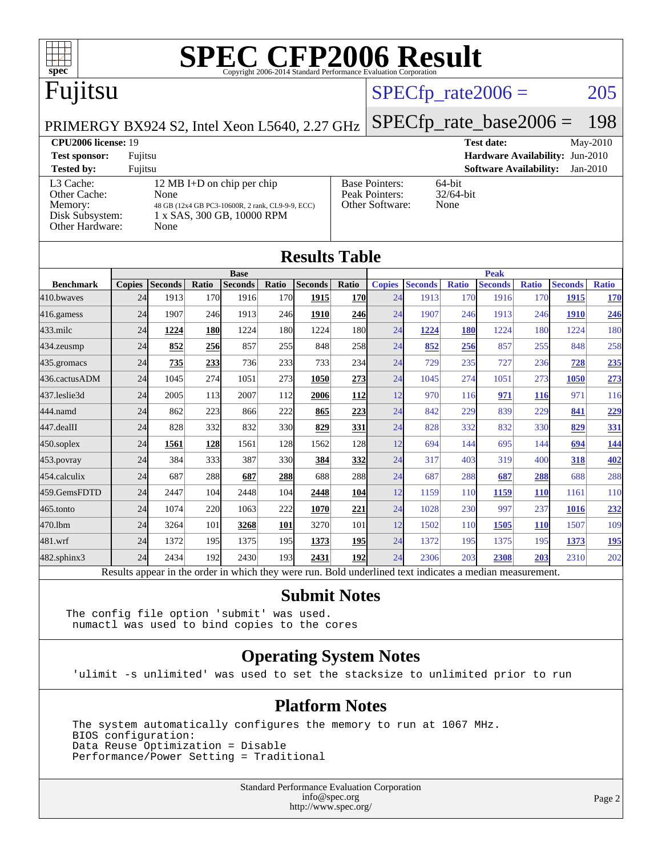

## Fujitsu

### $SPECTp_rate2006 = 205$

[Base Pointers:](http://www.spec.org/auto/cpu2006/Docs/result-fields.html#BasePointers) 64-bit<br>Peak Pointers: 32/64-bit

[Other Software:](http://www.spec.org/auto/cpu2006/Docs/result-fields.html#OtherSoftware) None

[Peak Pointers:](http://www.spec.org/auto/cpu2006/Docs/result-fields.html#PeakPointers)

PRIMERGY BX924 S2, Intel Xeon L5640, 2.27 GHz

[SPECfp\\_rate\\_base2006 =](http://www.spec.org/auto/cpu2006/Docs/result-fields.html#SPECfpratebase2006) 198 **[CPU2006 license:](http://www.spec.org/auto/cpu2006/Docs/result-fields.html#CPU2006license)** 19 **[Test date:](http://www.spec.org/auto/cpu2006/Docs/result-fields.html#Testdate)** May-2010 **[Test sponsor:](http://www.spec.org/auto/cpu2006/Docs/result-fields.html#Testsponsor)** Fujitsu **[Hardware Availability:](http://www.spec.org/auto/cpu2006/Docs/result-fields.html#HardwareAvailability)** Jun-2010 **[Software Availability:](http://www.spec.org/auto/cpu2006/Docs/result-fields.html#SoftwareAvailability)** Jan-2010

| <b>Tested by:</b> | Fujitsu                                          |
|-------------------|--------------------------------------------------|
| L3 Cache:         | 12 MB I+D on chip per chip                       |
| Other Cache:      | None                                             |
| Memory:           | 48 GB (12x4 GB PC3-10600R, 2 rank, CL9-9-9, ECC) |
| Disk Subsystem:   | 1 x SAS, 300 GB, 10000 RPM                       |
| Other Hardware:   | None                                             |

|                  |               |                |            |                               |            | <b>Results Table</b> |            |               |                |              |                               |              |                |              |
|------------------|---------------|----------------|------------|-------------------------------|------------|----------------------|------------|---------------|----------------|--------------|-------------------------------|--------------|----------------|--------------|
| <b>Benchmark</b> | <b>Copies</b> | <b>Seconds</b> | Ratio      | <b>Base</b><br><b>Seconds</b> | Ratio      | <b>Seconds</b>       | Ratio      | <b>Copies</b> | <b>Seconds</b> | <b>Ratio</b> | <b>Peak</b><br><b>Seconds</b> | <b>Ratio</b> | <b>Seconds</b> | <b>Ratio</b> |
| 410.bwayes       | 24            | 1913           | 170        | 1916                          | 170        | 1915                 | <b>170</b> | 24            | 1913           | 170          | 1916                          | 170          | 1915           | 170          |
| 416.gamess       | 24            | 1907           | 246        | 1913                          | 246        | 1910                 | <b>246</b> | 24            | 1907           | 246          | 1913                          | 246          | 1910           | 246          |
| $433$ .milc      | 24            | 1224           | 180        | 1224                          | 180        | 1224                 | 180        | 24            | 1224           | <b>180</b>   | 1224                          | 180          | 1224           | 180          |
| $434$ . zeusmp   | 24            | 852            | 256        | 857                           | 255        | 848                  | 258        | 24            | 852            | 256          | 857                           | 255          | 848            | 258          |
| 435.gromacs      | 24            | 735            | 233        | 736                           | 233        | 733                  | 234        | 24            | 729            | 235          | 727                           | 236          | 728            | 235          |
| 436.cactusADM    | 24            | 1045           | 274        | 1051                          | 273        | 1050                 | 273        | 24            | 1045           | 274          | 1051                          | 273          | 1050           | 273          |
| 437.leslie3d     | 24            | 2005           | 113        | 2007                          | 112        | 2006                 | <b>112</b> | 12            | 970            | 116          | 971                           | <b>116</b>   | 971            | 116          |
| 444.namd         | 24            | 862            | 223        | 866                           | 222        | 865                  | 223        | 24            | 842            | 229          | 839                           | 229          | 841            | 229          |
| 447.dealII       | 24            | 828            | 332        | 832                           | 330l       | 829                  | 331        | 24            | 828            | 332          | 832                           | 330          | 829            | 331          |
| $450$ .soplex    | 24            | 1561           | <b>128</b> | 1561                          | 128        | 1562                 | 128        | 12            | 694            | 144          | 695                           | 144          | 694            | <u>144</u>   |
| 453.povray       | 24            | 384            | 333        | 387                           | 330l       | 384                  | 332        | 24            | 317            | 403          | 319                           | 400          | 318            | 402          |
| 454.calculix     | 24            | 687            | 288        | 687                           | 288        | 688                  | <b>288</b> | 24            | 687            | 288          | 687                           | 288          | 688            | 288          |
| 459.GemsFDTD     | 24            | 2447           | 104        | 2448                          | 104        | 2448                 | 104        | 12            | 1159           | 110          | 1159                          | <b>110</b>   | 1161           | 110          |
| $465$ .tonto     | 24            | 1074           | 220        | 1063                          | 222        | 1070                 | 221        | 24            | 1028           | 230          | 997                           | 237          | 1016           | 232          |
| 470.1bm          | 24            | 3264           | 101        | 3268                          | <b>101</b> | 3270                 | 101        | 12            | 1502           | 110          | 1505                          | <b>110</b>   | 1507           | 109          |
| 481.wrf          | 24            | 1372           | 195        | 1375                          | 195        | 1373                 | 195        | 24            | 1372           | 195          | 1375                          | 195          | 1373           | <u>195</u>   |
| 482.sphinx3      | 24            | 2434           | 192        | 2430                          | 193        | 2431                 | 192        | 24            | 2306           | 203          | 2308                          | 203          | 2310           | 202          |

#### **[Submit Notes](http://www.spec.org/auto/cpu2006/Docs/result-fields.html#SubmitNotes)**

The config file option 'submit' was used. numactl was used to bind copies to the cores

#### **[Operating System Notes](http://www.spec.org/auto/cpu2006/Docs/result-fields.html#OperatingSystemNotes)**

'ulimit -s unlimited' was used to set the stacksize to unlimited prior to run

#### **[Platform Notes](http://www.spec.org/auto/cpu2006/Docs/result-fields.html#PlatformNotes)**

 The system automatically configures the memory to run at 1067 MHz. BIOS configuration: Data Reuse Optimization = Disable Performance/Power Setting = Traditional

> Standard Performance Evaluation Corporation [info@spec.org](mailto:info@spec.org) <http://www.spec.org/>

Page 2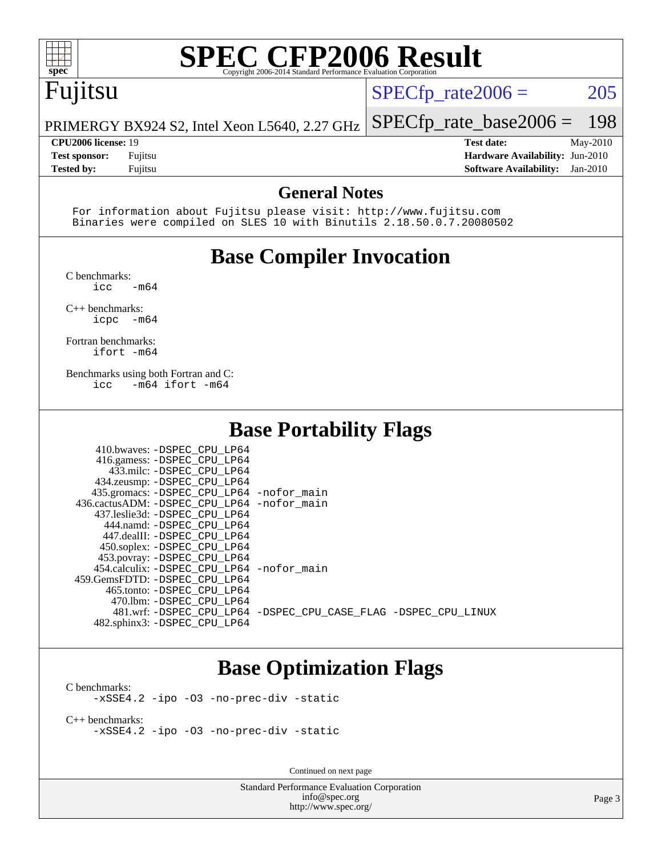

## Fujitsu

 $SPECTp_rate2006 = 205$ 

PRIMERGY BX924 S2, Intel Xeon L5640, 2.27 GHz [SPECfp\\_rate\\_base2006 =](http://www.spec.org/auto/cpu2006/Docs/result-fields.html#SPECfpratebase2006) 198

**[CPU2006 license:](http://www.spec.org/auto/cpu2006/Docs/result-fields.html#CPU2006license)** 19 **[Test date:](http://www.spec.org/auto/cpu2006/Docs/result-fields.html#Testdate)** May-2010 **[Test sponsor:](http://www.spec.org/auto/cpu2006/Docs/result-fields.html#Testsponsor)** Fujitsu **[Hardware Availability:](http://www.spec.org/auto/cpu2006/Docs/result-fields.html#HardwareAvailability)** Jun-2010 **[Tested by:](http://www.spec.org/auto/cpu2006/Docs/result-fields.html#Testedby)** Fujitsu **[Software Availability:](http://www.spec.org/auto/cpu2006/Docs/result-fields.html#SoftwareAvailability)** Jan-2010

#### **[General Notes](http://www.spec.org/auto/cpu2006/Docs/result-fields.html#GeneralNotes)**

 For information about Fujitsu please visit: <http://www.fujitsu.com> Binaries were compiled on SLES 10 with Binutils 2.18.50.0.7.20080502

### **[Base Compiler Invocation](http://www.spec.org/auto/cpu2006/Docs/result-fields.html#BaseCompilerInvocation)**

[C benchmarks](http://www.spec.org/auto/cpu2006/Docs/result-fields.html#Cbenchmarks):

 $\text{icc}$   $-\text{m64}$ 

[C++ benchmarks:](http://www.spec.org/auto/cpu2006/Docs/result-fields.html#CXXbenchmarks) [icpc -m64](http://www.spec.org/cpu2006/results/res2010q3/cpu2006-20100618-11729.flags.html#user_CXXbase_intel_icpc_64bit_bedb90c1146cab66620883ef4f41a67e)

[Fortran benchmarks](http://www.spec.org/auto/cpu2006/Docs/result-fields.html#Fortranbenchmarks): [ifort -m64](http://www.spec.org/cpu2006/results/res2010q3/cpu2006-20100618-11729.flags.html#user_FCbase_intel_ifort_64bit_ee9d0fb25645d0210d97eb0527dcc06e)

[Benchmarks using both Fortran and C](http://www.spec.org/auto/cpu2006/Docs/result-fields.html#BenchmarksusingbothFortranandC): [icc -m64](http://www.spec.org/cpu2006/results/res2010q3/cpu2006-20100618-11729.flags.html#user_CC_FCbase_intel_icc_64bit_0b7121f5ab7cfabee23d88897260401c) [ifort -m64](http://www.spec.org/cpu2006/results/res2010q3/cpu2006-20100618-11729.flags.html#user_CC_FCbase_intel_ifort_64bit_ee9d0fb25645d0210d97eb0527dcc06e)

#### **[Base Portability Flags](http://www.spec.org/auto/cpu2006/Docs/result-fields.html#BasePortabilityFlags)**

| 410.bwaves: -DSPEC CPU LP64                 |                                                                |
|---------------------------------------------|----------------------------------------------------------------|
| 416.gamess: -DSPEC_CPU_LP64                 |                                                                |
| 433.milc: -DSPEC CPU LP64                   |                                                                |
| 434.zeusmp: -DSPEC_CPU_LP64                 |                                                                |
| 435.gromacs: -DSPEC_CPU_LP64 -nofor_main    |                                                                |
| 436.cactusADM: -DSPEC_CPU_LP64 -nofor main  |                                                                |
| 437.leslie3d: -DSPEC CPU LP64               |                                                                |
| 444.namd: -DSPEC CPU LP64                   |                                                                |
| 447.dealII: -DSPEC CPU LP64                 |                                                                |
| 450.soplex: -DSPEC CPU LP64                 |                                                                |
| 453.povray: -DSPEC_CPU_LP64                 |                                                                |
| 454.calculix: - DSPEC CPU LP64 - nofor main |                                                                |
| 459.GemsFDTD: -DSPEC CPU LP64               |                                                                |
| 465.tonto: -DSPEC CPU LP64                  |                                                                |
| 470.1bm: - DSPEC CPU LP64                   |                                                                |
|                                             | 481.wrf: -DSPEC CPU_LP64 -DSPEC_CPU_CASE_FLAG -DSPEC_CPU_LINUX |
| 482.sphinx3: -DSPEC_CPU_LP64                |                                                                |

#### **[Base Optimization Flags](http://www.spec.org/auto/cpu2006/Docs/result-fields.html#BaseOptimizationFlags)**

[C benchmarks](http://www.spec.org/auto/cpu2006/Docs/result-fields.html#Cbenchmarks): [-xSSE4.2](http://www.spec.org/cpu2006/results/res2010q3/cpu2006-20100618-11729.flags.html#user_CCbase_f-xSSE42_f91528193cf0b216347adb8b939d4107) [-ipo](http://www.spec.org/cpu2006/results/res2010q3/cpu2006-20100618-11729.flags.html#user_CCbase_f-ipo) [-O3](http://www.spec.org/cpu2006/results/res2010q3/cpu2006-20100618-11729.flags.html#user_CCbase_f-O3) [-no-prec-div](http://www.spec.org/cpu2006/results/res2010q3/cpu2006-20100618-11729.flags.html#user_CCbase_f-no-prec-div) [-static](http://www.spec.org/cpu2006/results/res2010q3/cpu2006-20100618-11729.flags.html#user_CCbase_f-static)

[C++ benchmarks:](http://www.spec.org/auto/cpu2006/Docs/result-fields.html#CXXbenchmarks) [-xSSE4.2](http://www.spec.org/cpu2006/results/res2010q3/cpu2006-20100618-11729.flags.html#user_CXXbase_f-xSSE42_f91528193cf0b216347adb8b939d4107) [-ipo](http://www.spec.org/cpu2006/results/res2010q3/cpu2006-20100618-11729.flags.html#user_CXXbase_f-ipo) [-O3](http://www.spec.org/cpu2006/results/res2010q3/cpu2006-20100618-11729.flags.html#user_CXXbase_f-O3) [-no-prec-div](http://www.spec.org/cpu2006/results/res2010q3/cpu2006-20100618-11729.flags.html#user_CXXbase_f-no-prec-div) [-static](http://www.spec.org/cpu2006/results/res2010q3/cpu2006-20100618-11729.flags.html#user_CXXbase_f-static)

Continued on next page

Standard Performance Evaluation Corporation [info@spec.org](mailto:info@spec.org) <http://www.spec.org/>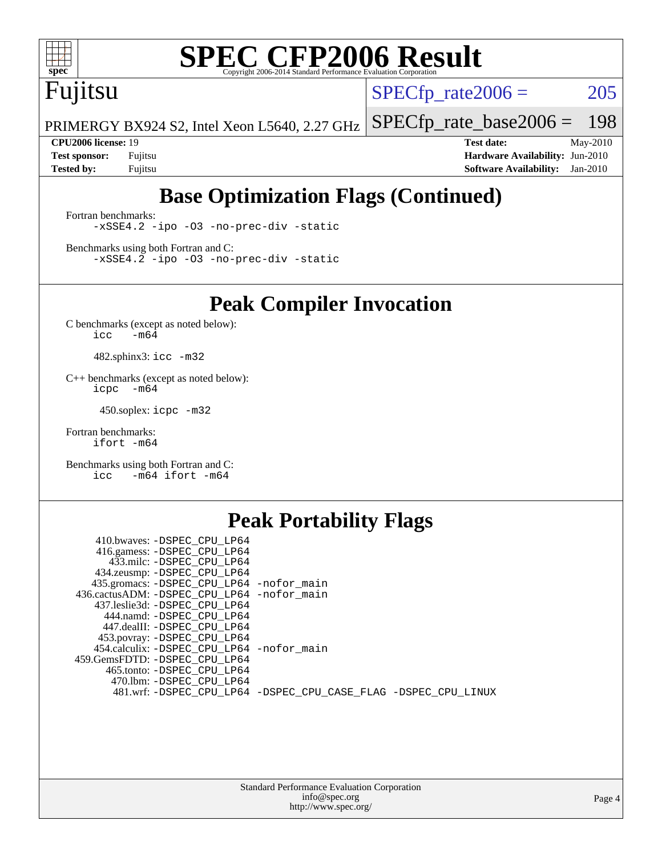

# Fujitsu

 $SPECTp_rate2006 = 205$ 

PRIMERGY BX924 S2, Intel Xeon L5640, 2.27 GHz [SPECfp\\_rate\\_base2006 =](http://www.spec.org/auto/cpu2006/Docs/result-fields.html#SPECfpratebase2006) 198

**[CPU2006 license:](http://www.spec.org/auto/cpu2006/Docs/result-fields.html#CPU2006license)** 19 **[Test date:](http://www.spec.org/auto/cpu2006/Docs/result-fields.html#Testdate)** May-2010 **[Test sponsor:](http://www.spec.org/auto/cpu2006/Docs/result-fields.html#Testsponsor)** Fujitsu **[Hardware Availability:](http://www.spec.org/auto/cpu2006/Docs/result-fields.html#HardwareAvailability)** Jun-2010 **[Tested by:](http://www.spec.org/auto/cpu2006/Docs/result-fields.html#Testedby)** Fujitsu **[Software Availability:](http://www.spec.org/auto/cpu2006/Docs/result-fields.html#SoftwareAvailability)** Jan-2010

## **[Base Optimization Flags \(Continued\)](http://www.spec.org/auto/cpu2006/Docs/result-fields.html#BaseOptimizationFlags)**

[Fortran benchmarks](http://www.spec.org/auto/cpu2006/Docs/result-fields.html#Fortranbenchmarks): [-xSSE4.2](http://www.spec.org/cpu2006/results/res2010q3/cpu2006-20100618-11729.flags.html#user_FCbase_f-xSSE42_f91528193cf0b216347adb8b939d4107) [-ipo](http://www.spec.org/cpu2006/results/res2010q3/cpu2006-20100618-11729.flags.html#user_FCbase_f-ipo) [-O3](http://www.spec.org/cpu2006/results/res2010q3/cpu2006-20100618-11729.flags.html#user_FCbase_f-O3) [-no-prec-div](http://www.spec.org/cpu2006/results/res2010q3/cpu2006-20100618-11729.flags.html#user_FCbase_f-no-prec-div) [-static](http://www.spec.org/cpu2006/results/res2010q3/cpu2006-20100618-11729.flags.html#user_FCbase_f-static)

[Benchmarks using both Fortran and C](http://www.spec.org/auto/cpu2006/Docs/result-fields.html#BenchmarksusingbothFortranandC): [-xSSE4.2](http://www.spec.org/cpu2006/results/res2010q3/cpu2006-20100618-11729.flags.html#user_CC_FCbase_f-xSSE42_f91528193cf0b216347adb8b939d4107) [-ipo](http://www.spec.org/cpu2006/results/res2010q3/cpu2006-20100618-11729.flags.html#user_CC_FCbase_f-ipo) [-O3](http://www.spec.org/cpu2006/results/res2010q3/cpu2006-20100618-11729.flags.html#user_CC_FCbase_f-O3) [-no-prec-div](http://www.spec.org/cpu2006/results/res2010q3/cpu2006-20100618-11729.flags.html#user_CC_FCbase_f-no-prec-div) [-static](http://www.spec.org/cpu2006/results/res2010q3/cpu2006-20100618-11729.flags.html#user_CC_FCbase_f-static)

**[Peak Compiler Invocation](http://www.spec.org/auto/cpu2006/Docs/result-fields.html#PeakCompilerInvocation)**

[C benchmarks \(except as noted below\)](http://www.spec.org/auto/cpu2006/Docs/result-fields.html#Cbenchmarksexceptasnotedbelow):  $\text{icc}$  -m64

482.sphinx3: [icc -m32](http://www.spec.org/cpu2006/results/res2010q3/cpu2006-20100618-11729.flags.html#user_peakCCLD482_sphinx3_intel_icc_32bit_a6a621f8d50482236b970c6ac5f55f93)

[C++ benchmarks \(except as noted below\):](http://www.spec.org/auto/cpu2006/Docs/result-fields.html#CXXbenchmarksexceptasnotedbelow) [icpc -m64](http://www.spec.org/cpu2006/results/res2010q3/cpu2006-20100618-11729.flags.html#user_CXXpeak_intel_icpc_64bit_bedb90c1146cab66620883ef4f41a67e)

450.soplex: [icpc -m32](http://www.spec.org/cpu2006/results/res2010q3/cpu2006-20100618-11729.flags.html#user_peakCXXLD450_soplex_intel_icpc_32bit_4e5a5ef1a53fd332b3c49e69c3330699)

[Fortran benchmarks](http://www.spec.org/auto/cpu2006/Docs/result-fields.html#Fortranbenchmarks): [ifort -m64](http://www.spec.org/cpu2006/results/res2010q3/cpu2006-20100618-11729.flags.html#user_FCpeak_intel_ifort_64bit_ee9d0fb25645d0210d97eb0527dcc06e)

[Benchmarks using both Fortran and C](http://www.spec.org/auto/cpu2006/Docs/result-fields.html#BenchmarksusingbothFortranandC): [icc -m64](http://www.spec.org/cpu2006/results/res2010q3/cpu2006-20100618-11729.flags.html#user_CC_FCpeak_intel_icc_64bit_0b7121f5ab7cfabee23d88897260401c) [ifort -m64](http://www.spec.org/cpu2006/results/res2010q3/cpu2006-20100618-11729.flags.html#user_CC_FCpeak_intel_ifort_64bit_ee9d0fb25645d0210d97eb0527dcc06e)

### **[Peak Portability Flags](http://www.spec.org/auto/cpu2006/Docs/result-fields.html#PeakPortabilityFlags)**

| 410.bwaves: -DSPEC_CPU LP64                |                                                                |
|--------------------------------------------|----------------------------------------------------------------|
| 416.gamess: -DSPEC_CPU_LP64                |                                                                |
| 433.milc: -DSPEC CPU LP64                  |                                                                |
| 434.zeusmp: -DSPEC_CPU_LP64                |                                                                |
| 435.gromacs: -DSPEC_CPU_LP64 -nofor_main   |                                                                |
| 436.cactusADM: -DSPEC CPU LP64 -nofor main |                                                                |
| 437.leslie3d: -DSPEC CPU LP64              |                                                                |
| 444.namd: -DSPEC CPU LP64                  |                                                                |
| 447.dealII: -DSPEC CPU LP64                |                                                                |
| 453.povray: -DSPEC_CPU_LP64                |                                                                |
| 454.calculix: -DSPEC CPU LP64 -nofor main  |                                                                |
| 459.GemsFDTD: -DSPEC CPU LP64              |                                                                |
| 465.tonto: -DSPEC CPU LP64                 |                                                                |
| 470.1bm: -DSPEC_CPU_LP64                   |                                                                |
|                                            | 481.wrf: -DSPEC_CPU_LP64 -DSPEC_CPU_CASE_FLAG -DSPEC_CPU_LINUX |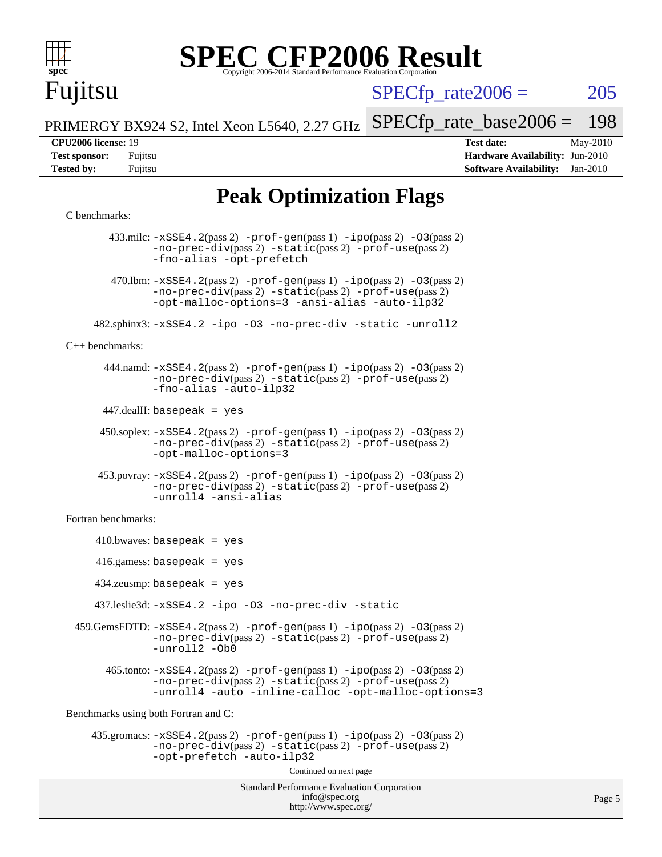

Fujitsu

 $SPECTp\_rate2006 = 205$ 

Page 5

PRIMERGY BX924 S2, Intel Xeon L5640, 2.27 GHz [SPECfp\\_rate\\_base2006 =](http://www.spec.org/auto/cpu2006/Docs/result-fields.html#SPECfpratebase2006) 198

**[CPU2006 license:](http://www.spec.org/auto/cpu2006/Docs/result-fields.html#CPU2006license)** 19 **[Test date:](http://www.spec.org/auto/cpu2006/Docs/result-fields.html#Testdate)** May-2010 **[Test sponsor:](http://www.spec.org/auto/cpu2006/Docs/result-fields.html#Testsponsor)** Fujitsu **[Hardware Availability:](http://www.spec.org/auto/cpu2006/Docs/result-fields.html#HardwareAvailability)** Jun-2010 **[Tested by:](http://www.spec.org/auto/cpu2006/Docs/result-fields.html#Testedby)** Fujitsu **[Software Availability:](http://www.spec.org/auto/cpu2006/Docs/result-fields.html#SoftwareAvailability)** Jan-2010

## **[Peak Optimization Flags](http://www.spec.org/auto/cpu2006/Docs/result-fields.html#PeakOptimizationFlags)**

#### [C benchmarks](http://www.spec.org/auto/cpu2006/Docs/result-fields.html#Cbenchmarks):

Standard Performance Evaluation Corporation [info@spec.org](mailto:info@spec.org) <http://www.spec.org/> 433.milc: [-xSSE4.2](http://www.spec.org/cpu2006/results/res2010q3/cpu2006-20100618-11729.flags.html#user_peakPASS2_CFLAGSPASS2_LDFLAGS433_milc_f-xSSE42_f91528193cf0b216347adb8b939d4107)(pass 2) [-prof-gen](http://www.spec.org/cpu2006/results/res2010q3/cpu2006-20100618-11729.flags.html#user_peakPASS1_CFLAGSPASS1_LDFLAGS433_milc_prof_gen_e43856698f6ca7b7e442dfd80e94a8fc)(pass 1) [-ipo](http://www.spec.org/cpu2006/results/res2010q3/cpu2006-20100618-11729.flags.html#user_peakPASS2_CFLAGSPASS2_LDFLAGS433_milc_f-ipo)(pass 2) [-O3](http://www.spec.org/cpu2006/results/res2010q3/cpu2006-20100618-11729.flags.html#user_peakPASS2_CFLAGSPASS2_LDFLAGS433_milc_f-O3)(pass 2) [-no-prec-div](http://www.spec.org/cpu2006/results/res2010q3/cpu2006-20100618-11729.flags.html#user_peakPASS2_CFLAGSPASS2_LDFLAGS433_milc_f-no-prec-div)(pass 2) [-static](http://www.spec.org/cpu2006/results/res2010q3/cpu2006-20100618-11729.flags.html#user_peakPASS2_CFLAGSPASS2_LDFLAGS433_milc_f-static)(pass 2) [-prof-use](http://www.spec.org/cpu2006/results/res2010q3/cpu2006-20100618-11729.flags.html#user_peakPASS2_CFLAGSPASS2_LDFLAGS433_milc_prof_use_bccf7792157ff70d64e32fe3e1250b55)(pass 2) [-fno-alias](http://www.spec.org/cpu2006/results/res2010q3/cpu2006-20100618-11729.flags.html#user_peakOPTIMIZE433_milc_f-no-alias_694e77f6c5a51e658e82ccff53a9e63a) [-opt-prefetch](http://www.spec.org/cpu2006/results/res2010q3/cpu2006-20100618-11729.flags.html#user_peakOPTIMIZE433_milc_f-opt-prefetch) 470.1bm:  $-xSSE4$ . 2(pass 2)  $-prof-gen(pass 1) -ipo(pass 2) -O3(pass 2)$  $-prof-gen(pass 1) -ipo(pass 2) -O3(pass 2)$  $-prof-gen(pass 1) -ipo(pass 2) -O3(pass 2)$  $-prof-gen(pass 1) -ipo(pass 2) -O3(pass 2)$  $-prof-gen(pass 1) -ipo(pass 2) -O3(pass 2)$  $-prof-gen(pass 1) -ipo(pass 2) -O3(pass 2)$ [-no-prec-div](http://www.spec.org/cpu2006/results/res2010q3/cpu2006-20100618-11729.flags.html#user_peakPASS2_CFLAGSPASS2_LDFLAGS470_lbm_f-no-prec-div)(pass 2) [-static](http://www.spec.org/cpu2006/results/res2010q3/cpu2006-20100618-11729.flags.html#user_peakPASS2_CFLAGSPASS2_LDFLAGS470_lbm_f-static)(pass 2) [-prof-use](http://www.spec.org/cpu2006/results/res2010q3/cpu2006-20100618-11729.flags.html#user_peakPASS2_CFLAGSPASS2_LDFLAGS470_lbm_prof_use_bccf7792157ff70d64e32fe3e1250b55)(pass 2) [-opt-malloc-options=3](http://www.spec.org/cpu2006/results/res2010q3/cpu2006-20100618-11729.flags.html#user_peakOPTIMIZE470_lbm_f-opt-malloc-options_13ab9b803cf986b4ee62f0a5998c2238) [-ansi-alias](http://www.spec.org/cpu2006/results/res2010q3/cpu2006-20100618-11729.flags.html#user_peakOPTIMIZE470_lbm_f-ansi-alias) [-auto-ilp32](http://www.spec.org/cpu2006/results/res2010q3/cpu2006-20100618-11729.flags.html#user_peakCOPTIMIZE470_lbm_f-auto-ilp32) 482.sphinx3: [-xSSE4.2](http://www.spec.org/cpu2006/results/res2010q3/cpu2006-20100618-11729.flags.html#user_peakOPTIMIZE482_sphinx3_f-xSSE42_f91528193cf0b216347adb8b939d4107) [-ipo](http://www.spec.org/cpu2006/results/res2010q3/cpu2006-20100618-11729.flags.html#user_peakOPTIMIZE482_sphinx3_f-ipo) [-O3](http://www.spec.org/cpu2006/results/res2010q3/cpu2006-20100618-11729.flags.html#user_peakOPTIMIZE482_sphinx3_f-O3) [-no-prec-div](http://www.spec.org/cpu2006/results/res2010q3/cpu2006-20100618-11729.flags.html#user_peakOPTIMIZE482_sphinx3_f-no-prec-div) [-static](http://www.spec.org/cpu2006/results/res2010q3/cpu2006-20100618-11729.flags.html#user_peakOPTIMIZE482_sphinx3_f-static) [-unroll2](http://www.spec.org/cpu2006/results/res2010q3/cpu2006-20100618-11729.flags.html#user_peakCOPTIMIZE482_sphinx3_f-unroll_784dae83bebfb236979b41d2422d7ec2) [C++ benchmarks:](http://www.spec.org/auto/cpu2006/Docs/result-fields.html#CXXbenchmarks) 444.namd: [-xSSE4.2](http://www.spec.org/cpu2006/results/res2010q3/cpu2006-20100618-11729.flags.html#user_peakPASS2_CXXFLAGSPASS2_LDFLAGS444_namd_f-xSSE42_f91528193cf0b216347adb8b939d4107)(pass 2) [-prof-gen](http://www.spec.org/cpu2006/results/res2010q3/cpu2006-20100618-11729.flags.html#user_peakPASS1_CXXFLAGSPASS1_LDFLAGS444_namd_prof_gen_e43856698f6ca7b7e442dfd80e94a8fc)(pass 1) [-ipo](http://www.spec.org/cpu2006/results/res2010q3/cpu2006-20100618-11729.flags.html#user_peakPASS2_CXXFLAGSPASS2_LDFLAGS444_namd_f-ipo)(pass 2) [-O3](http://www.spec.org/cpu2006/results/res2010q3/cpu2006-20100618-11729.flags.html#user_peakPASS2_CXXFLAGSPASS2_LDFLAGS444_namd_f-O3)(pass 2) [-no-prec-div](http://www.spec.org/cpu2006/results/res2010q3/cpu2006-20100618-11729.flags.html#user_peakPASS2_CXXFLAGSPASS2_LDFLAGS444_namd_f-no-prec-div)(pass 2) [-static](http://www.spec.org/cpu2006/results/res2010q3/cpu2006-20100618-11729.flags.html#user_peakPASS2_CXXFLAGSPASS2_LDFLAGS444_namd_f-static)(pass 2) [-prof-use](http://www.spec.org/cpu2006/results/res2010q3/cpu2006-20100618-11729.flags.html#user_peakPASS2_CXXFLAGSPASS2_LDFLAGS444_namd_prof_use_bccf7792157ff70d64e32fe3e1250b55)(pass 2) [-fno-alias](http://www.spec.org/cpu2006/results/res2010q3/cpu2006-20100618-11729.flags.html#user_peakCXXOPTIMIZE444_namd_f-no-alias_694e77f6c5a51e658e82ccff53a9e63a) [-auto-ilp32](http://www.spec.org/cpu2006/results/res2010q3/cpu2006-20100618-11729.flags.html#user_peakCXXOPTIMIZE444_namd_f-auto-ilp32) 447.dealII: basepeak = yes 450.soplex: [-xSSE4.2](http://www.spec.org/cpu2006/results/res2010q3/cpu2006-20100618-11729.flags.html#user_peakPASS2_CXXFLAGSPASS2_LDFLAGS450_soplex_f-xSSE42_f91528193cf0b216347adb8b939d4107)(pass 2) [-prof-gen](http://www.spec.org/cpu2006/results/res2010q3/cpu2006-20100618-11729.flags.html#user_peakPASS1_CXXFLAGSPASS1_LDFLAGS450_soplex_prof_gen_e43856698f6ca7b7e442dfd80e94a8fc)(pass 1) [-ipo](http://www.spec.org/cpu2006/results/res2010q3/cpu2006-20100618-11729.flags.html#user_peakPASS2_CXXFLAGSPASS2_LDFLAGS450_soplex_f-ipo)(pass 2) [-O3](http://www.spec.org/cpu2006/results/res2010q3/cpu2006-20100618-11729.flags.html#user_peakPASS2_CXXFLAGSPASS2_LDFLAGS450_soplex_f-O3)(pass 2) [-no-prec-div](http://www.spec.org/cpu2006/results/res2010q3/cpu2006-20100618-11729.flags.html#user_peakPASS2_CXXFLAGSPASS2_LDFLAGS450_soplex_f-no-prec-div)(pass 2) [-static](http://www.spec.org/cpu2006/results/res2010q3/cpu2006-20100618-11729.flags.html#user_peakPASS2_CXXFLAGSPASS2_LDFLAGS450_soplex_f-static)(pass 2) [-prof-use](http://www.spec.org/cpu2006/results/res2010q3/cpu2006-20100618-11729.flags.html#user_peakPASS2_CXXFLAGSPASS2_LDFLAGS450_soplex_prof_use_bccf7792157ff70d64e32fe3e1250b55)(pass 2) [-opt-malloc-options=3](http://www.spec.org/cpu2006/results/res2010q3/cpu2006-20100618-11729.flags.html#user_peakOPTIMIZE450_soplex_f-opt-malloc-options_13ab9b803cf986b4ee62f0a5998c2238) 453.povray: [-xSSE4.2](http://www.spec.org/cpu2006/results/res2010q3/cpu2006-20100618-11729.flags.html#user_peakPASS2_CXXFLAGSPASS2_LDFLAGS453_povray_f-xSSE42_f91528193cf0b216347adb8b939d4107)(pass 2) [-prof-gen](http://www.spec.org/cpu2006/results/res2010q3/cpu2006-20100618-11729.flags.html#user_peakPASS1_CXXFLAGSPASS1_LDFLAGS453_povray_prof_gen_e43856698f6ca7b7e442dfd80e94a8fc)(pass 1) [-ipo](http://www.spec.org/cpu2006/results/res2010q3/cpu2006-20100618-11729.flags.html#user_peakPASS2_CXXFLAGSPASS2_LDFLAGS453_povray_f-ipo)(pass 2) [-O3](http://www.spec.org/cpu2006/results/res2010q3/cpu2006-20100618-11729.flags.html#user_peakPASS2_CXXFLAGSPASS2_LDFLAGS453_povray_f-O3)(pass 2) [-no-prec-div](http://www.spec.org/cpu2006/results/res2010q3/cpu2006-20100618-11729.flags.html#user_peakPASS2_CXXFLAGSPASS2_LDFLAGS453_povray_f-no-prec-div)(pass 2) [-static](http://www.spec.org/cpu2006/results/res2010q3/cpu2006-20100618-11729.flags.html#user_peakPASS2_CXXFLAGSPASS2_LDFLAGS453_povray_f-static)(pass 2) [-prof-use](http://www.spec.org/cpu2006/results/res2010q3/cpu2006-20100618-11729.flags.html#user_peakPASS2_CXXFLAGSPASS2_LDFLAGS453_povray_prof_use_bccf7792157ff70d64e32fe3e1250b55)(pass 2) [-unroll4](http://www.spec.org/cpu2006/results/res2010q3/cpu2006-20100618-11729.flags.html#user_peakCXXOPTIMIZE453_povray_f-unroll_4e5e4ed65b7fd20bdcd365bec371b81f) [-ansi-alias](http://www.spec.org/cpu2006/results/res2010q3/cpu2006-20100618-11729.flags.html#user_peakCXXOPTIMIZE453_povray_f-ansi-alias) [Fortran benchmarks](http://www.spec.org/auto/cpu2006/Docs/result-fields.html#Fortranbenchmarks):  $410.bwaves: basepeak = yes$  416.gamess: basepeak = yes 434.zeusmp: basepeak = yes 437.leslie3d: [-xSSE4.2](http://www.spec.org/cpu2006/results/res2010q3/cpu2006-20100618-11729.flags.html#user_peakOPTIMIZE437_leslie3d_f-xSSE42_f91528193cf0b216347adb8b939d4107) [-ipo](http://www.spec.org/cpu2006/results/res2010q3/cpu2006-20100618-11729.flags.html#user_peakOPTIMIZE437_leslie3d_f-ipo) [-O3](http://www.spec.org/cpu2006/results/res2010q3/cpu2006-20100618-11729.flags.html#user_peakOPTIMIZE437_leslie3d_f-O3) [-no-prec-div](http://www.spec.org/cpu2006/results/res2010q3/cpu2006-20100618-11729.flags.html#user_peakOPTIMIZE437_leslie3d_f-no-prec-div) [-static](http://www.spec.org/cpu2006/results/res2010q3/cpu2006-20100618-11729.flags.html#user_peakOPTIMIZE437_leslie3d_f-static) 459.GemsFDTD: [-xSSE4.2](http://www.spec.org/cpu2006/results/res2010q3/cpu2006-20100618-11729.flags.html#user_peakPASS2_FFLAGSPASS2_LDFLAGS459_GemsFDTD_f-xSSE42_f91528193cf0b216347adb8b939d4107)(pass 2) [-prof-gen](http://www.spec.org/cpu2006/results/res2010q3/cpu2006-20100618-11729.flags.html#user_peakPASS1_FFLAGSPASS1_LDFLAGS459_GemsFDTD_prof_gen_e43856698f6ca7b7e442dfd80e94a8fc)(pass 1) [-ipo](http://www.spec.org/cpu2006/results/res2010q3/cpu2006-20100618-11729.flags.html#user_peakPASS2_FFLAGSPASS2_LDFLAGS459_GemsFDTD_f-ipo)(pass 2) [-O3](http://www.spec.org/cpu2006/results/res2010q3/cpu2006-20100618-11729.flags.html#user_peakPASS2_FFLAGSPASS2_LDFLAGS459_GemsFDTD_f-O3)(pass 2) [-no-prec-div](http://www.spec.org/cpu2006/results/res2010q3/cpu2006-20100618-11729.flags.html#user_peakPASS2_FFLAGSPASS2_LDFLAGS459_GemsFDTD_f-no-prec-div)(pass 2) [-static](http://www.spec.org/cpu2006/results/res2010q3/cpu2006-20100618-11729.flags.html#user_peakPASS2_FFLAGSPASS2_LDFLAGS459_GemsFDTD_f-static)(pass 2) [-prof-use](http://www.spec.org/cpu2006/results/res2010q3/cpu2006-20100618-11729.flags.html#user_peakPASS2_FFLAGSPASS2_LDFLAGS459_GemsFDTD_prof_use_bccf7792157ff70d64e32fe3e1250b55)(pass 2) [-unroll2](http://www.spec.org/cpu2006/results/res2010q3/cpu2006-20100618-11729.flags.html#user_peakOPTIMIZE459_GemsFDTD_f-unroll_784dae83bebfb236979b41d2422d7ec2) [-Ob0](http://www.spec.org/cpu2006/results/res2010q3/cpu2006-20100618-11729.flags.html#user_peakOPTIMIZE459_GemsFDTD_f-Ob_n_fbe6f6428adb7d4b74b1e99bb2444c2d)  $465$ .tonto:  $-xSSE4$ .  $2(pass 2)$  [-prof-gen](http://www.spec.org/cpu2006/results/res2010q3/cpu2006-20100618-11729.flags.html#user_peakPASS1_FFLAGSPASS1_LDFLAGS465_tonto_prof_gen_e43856698f6ca7b7e442dfd80e94a8fc)(pass 1) [-ipo](http://www.spec.org/cpu2006/results/res2010q3/cpu2006-20100618-11729.flags.html#user_peakPASS2_FFLAGSPASS2_LDFLAGS465_tonto_f-ipo)(pass 2) -03(pass 2) [-no-prec-div](http://www.spec.org/cpu2006/results/res2010q3/cpu2006-20100618-11729.flags.html#user_peakPASS2_FFLAGSPASS2_LDFLAGS465_tonto_f-no-prec-div)(pass 2) [-static](http://www.spec.org/cpu2006/results/res2010q3/cpu2006-20100618-11729.flags.html#user_peakPASS2_FFLAGSPASS2_LDFLAGS465_tonto_f-static)(pass 2) [-prof-use](http://www.spec.org/cpu2006/results/res2010q3/cpu2006-20100618-11729.flags.html#user_peakPASS2_FFLAGSPASS2_LDFLAGS465_tonto_prof_use_bccf7792157ff70d64e32fe3e1250b55)(pass 2) [-unroll4](http://www.spec.org/cpu2006/results/res2010q3/cpu2006-20100618-11729.flags.html#user_peakOPTIMIZE465_tonto_f-unroll_4e5e4ed65b7fd20bdcd365bec371b81f) [-auto](http://www.spec.org/cpu2006/results/res2010q3/cpu2006-20100618-11729.flags.html#user_peakOPTIMIZE465_tonto_f-auto) [-inline-calloc](http://www.spec.org/cpu2006/results/res2010q3/cpu2006-20100618-11729.flags.html#user_peakOPTIMIZE465_tonto_f-inline-calloc) [-opt-malloc-options=3](http://www.spec.org/cpu2006/results/res2010q3/cpu2006-20100618-11729.flags.html#user_peakOPTIMIZE465_tonto_f-opt-malloc-options_13ab9b803cf986b4ee62f0a5998c2238) [Benchmarks using both Fortran and C](http://www.spec.org/auto/cpu2006/Docs/result-fields.html#BenchmarksusingbothFortranandC): 435.gromacs: [-xSSE4.2](http://www.spec.org/cpu2006/results/res2010q3/cpu2006-20100618-11729.flags.html#user_peakPASS2_CFLAGSPASS2_FFLAGSPASS2_LDFLAGS435_gromacs_f-xSSE42_f91528193cf0b216347adb8b939d4107)(pass 2) [-prof-gen](http://www.spec.org/cpu2006/results/res2010q3/cpu2006-20100618-11729.flags.html#user_peakPASS1_CFLAGSPASS1_FFLAGSPASS1_LDFLAGS435_gromacs_prof_gen_e43856698f6ca7b7e442dfd80e94a8fc)(pass 1) [-ipo](http://www.spec.org/cpu2006/results/res2010q3/cpu2006-20100618-11729.flags.html#user_peakPASS2_CFLAGSPASS2_FFLAGSPASS2_LDFLAGS435_gromacs_f-ipo)(pass 2) [-O3](http://www.spec.org/cpu2006/results/res2010q3/cpu2006-20100618-11729.flags.html#user_peakPASS2_CFLAGSPASS2_FFLAGSPASS2_LDFLAGS435_gromacs_f-O3)(pass 2) [-no-prec-div](http://www.spec.org/cpu2006/results/res2010q3/cpu2006-20100618-11729.flags.html#user_peakPASS2_CFLAGSPASS2_FFLAGSPASS2_LDFLAGS435_gromacs_f-no-prec-div)(pass 2) [-static](http://www.spec.org/cpu2006/results/res2010q3/cpu2006-20100618-11729.flags.html#user_peakPASS2_CFLAGSPASS2_FFLAGSPASS2_LDFLAGS435_gromacs_f-static)(pass 2) [-prof-use](http://www.spec.org/cpu2006/results/res2010q3/cpu2006-20100618-11729.flags.html#user_peakPASS2_CFLAGSPASS2_FFLAGSPASS2_LDFLAGS435_gromacs_prof_use_bccf7792157ff70d64e32fe3e1250b55)(pass 2) [-opt-prefetch](http://www.spec.org/cpu2006/results/res2010q3/cpu2006-20100618-11729.flags.html#user_peakOPTIMIZE435_gromacs_f-opt-prefetch) [-auto-ilp32](http://www.spec.org/cpu2006/results/res2010q3/cpu2006-20100618-11729.flags.html#user_peakCOPTIMIZE435_gromacs_f-auto-ilp32) Continued on next page